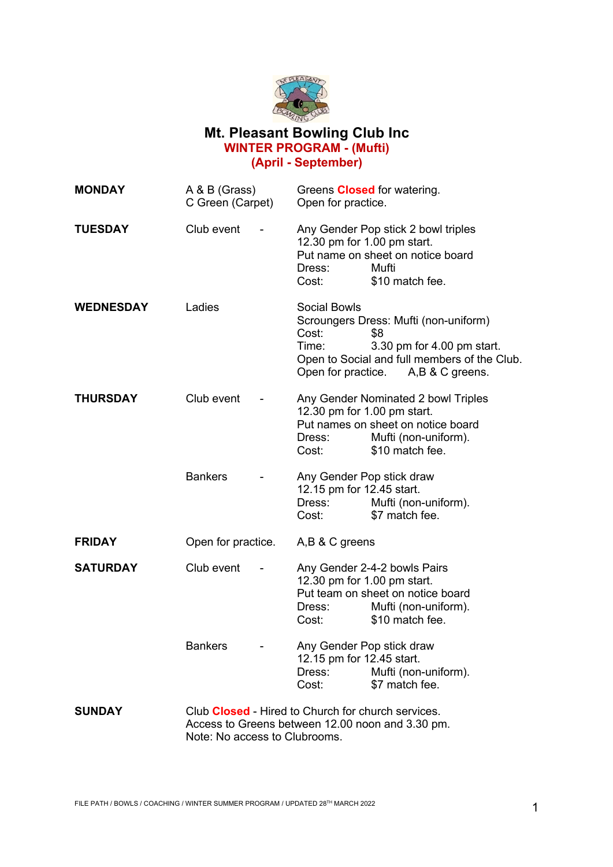

## **Mt. Pleasant Bowling Club Inc WINTER PROGRAM - (Mufti) (April - September)**

| <b>MONDAY</b>    | A & B (Grass)<br>C Green (Carpet)                                                                                                              |  | Greens <b>Closed</b> for watering.<br>Open for practice.                                                                                                       |                                                                                                                                                                  |
|------------------|------------------------------------------------------------------------------------------------------------------------------------------------|--|----------------------------------------------------------------------------------------------------------------------------------------------------------------|------------------------------------------------------------------------------------------------------------------------------------------------------------------|
| <b>TUESDAY</b>   | Club event                                                                                                                                     |  | 12.30 pm for 1.00 pm start.<br>Dress:<br>Cost:                                                                                                                 | Any Gender Pop stick 2 bowl triples<br>Put name on sheet on notice board<br>Mufti<br>\$10 match fee.                                                             |
| <b>WEDNESDAY</b> | Ladies                                                                                                                                         |  | <b>Social Bowls</b><br>Cost:<br>Time:                                                                                                                          | Scroungers Dress: Mufti (non-uniform)<br>\$8<br>3.30 pm for 4.00 pm start.<br>Open to Social and full members of the Club.<br>Open for practice. A,B & C greens. |
| <b>THURSDAY</b>  | Club event                                                                                                                                     |  | 12.30 pm for 1.00 pm start.<br>Dress:<br>Cost:                                                                                                                 | Any Gender Nominated 2 bowl Triples<br>Put names on sheet on notice board<br>Mufti (non-uniform).<br>\$10 match fee.                                             |
|                  | <b>Bankers</b>                                                                                                                                 |  | Any Gender Pop stick draw<br>12.15 pm for 12.45 start.<br>Dress:<br>Cost:                                                                                      | Mufti (non-uniform).<br>\$7 match fee.                                                                                                                           |
| <b>FRIDAY</b>    | Open for practice.                                                                                                                             |  | A,B & C greens                                                                                                                                                 |                                                                                                                                                                  |
| <b>SATURDAY</b>  | Club event                                                                                                                                     |  | Any Gender 2-4-2 bowls Pairs<br>12.30 pm for 1.00 pm start.<br>Put team on sheet on notice board<br>Mufti (non-uniform).<br>Dress:<br>\$10 match fee.<br>Cost: |                                                                                                                                                                  |
|                  | <b>Bankers</b>                                                                                                                                 |  | Any Gender Pop stick draw<br>12.15 pm for 12.45 start.<br>Dress:<br>Cost:                                                                                      | Mufti (non-uniform).<br>\$7 match fee.                                                                                                                           |
| <b>SUNDAY</b>    | Club <b>Closed</b> - Hired to Church for church services.<br>Access to Greens between 12.00 noon and 3.30 pm.<br>Note: No access to Clubrooms. |  |                                                                                                                                                                |                                                                                                                                                                  |